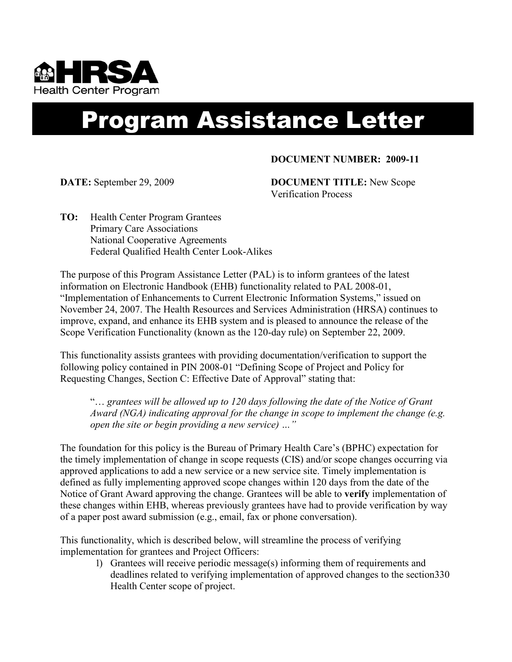

## Program Assistance Letter

## **DOCUMENT NUMBER: 2009-11**

**DATE:** September 29, 2009 **DOCUMENT TITLE:** New Scope Verification Process

**TO:** Health Center Program Grantees Primary Care Associations National Cooperative Agreements Federal Qualified Health Center Look-Alikes

The purpose of this Program Assistance Letter (PAL) is to inform grantees of the latest information on Electronic Handbook (EHB) functionality related to PAL 2008-01, "Implementation of Enhancements to Current Electronic Information Systems," issued on November 24, 2007. The Health Resources and Services Administration (HRSA) continues to improve, expand, and enhance its EHB system and is pleased to announce the release of the Scope Verification Functionality (known as the 120-day rule) on September 22, 2009.

This functionality assists grantees with providing documentation/verification to support the following policy contained in PIN 2008-01 "Defining Scope of Project and Policy for Requesting Changes, Section C: Effective Date of Approval" stating that:

"… *grantees will be allowed up to 120 days following the date of the Notice of Grant Award (NGA) indicating approval for the change in scope to implement the change (e.g. open the site or begin providing a new service) …"* 

The foundation for this policy is the Bureau of Primary Health Care's (BPHC) expectation for the timely implementation of change in scope requests (CIS) and/or scope changes occurring via approved applications to add a new service or a new service site. Timely implementation is defined as fully implementing approved scope changes within 120 days from the date of the Notice of Grant Award approving the change. Grantees will be able to **verify** implementation of these changes within EHB, whereas previously grantees have had to provide verification by way of a paper post award submission (e.g., email, fax or phone conversation).

This functionality, which is described below, will streamline the process of verifying implementation for grantees and Project Officers:

> 1) Grantees will receive periodic message(s) informing them of requirements and deadlines related to verifying implementation of approved changes to the section330 Health Center scope of project.